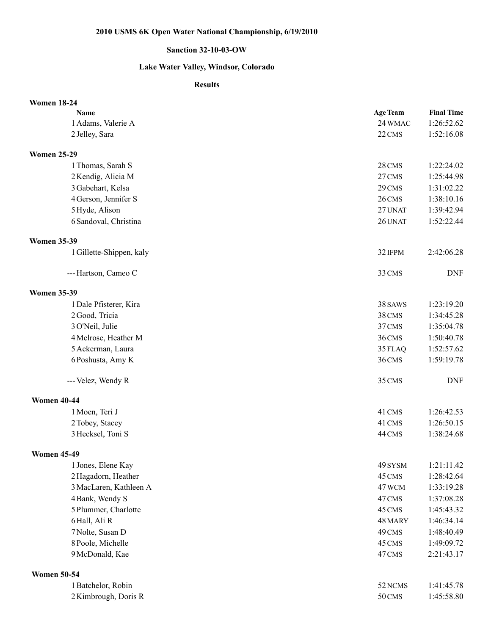## **2010 USMS 6K Open Water National Championship, 6/19/2010**

## **Sanction 32-10-03-OW**

## **Lake Water Valley, Windsor, Colorado**

## **Results**

| <b>Women 18-24</b>       |                 |                   |
|--------------------------|-----------------|-------------------|
| <b>Name</b>              | <b>Age Team</b> | <b>Final Time</b> |
| 1 Adams, Valerie A       | 24 WMAC         | 1:26:52.62        |
| 2 Jelley, Sara           | 22 CMS          | 1:52:16.08        |
| <b>Women 25-29</b>       |                 |                   |
| 1 Thomas, Sarah S        | 28 CMS          | 1:22:24.02        |
| 2 Kendig, Alicia M       | 27 CMS          | 1:25:44.98        |
| 3 Gabehart, Kelsa        | 29 CMS          | 1:31:02.22        |
| 4 Gerson, Jennifer S     | 26 CMS          | 1:38:10.16        |
| 5 Hyde, Alison           | 27 UNAT         | 1:39:42.94        |
| 6 Sandoval, Christina    | 26 UNAT         | 1:52:22.44        |
| <b>Women 35-39</b>       |                 |                   |
| 1 Gillette-Shippen, kaly | 32 IFPM         | 2:42:06.28        |
| --- Hartson, Cameo C     | 33 CMS          | <b>DNF</b>        |
| <b>Women 35-39</b>       |                 |                   |
| 1 Dale Pfisterer, Kira   | 38 SAWS         | 1:23:19.20        |
| 2 Good, Tricia           | 38 CMS          | 1:34:45.28        |
| 3 O'Neil, Julie          | 37 CMS          | 1:35:04.78        |
| 4 Melrose, Heather M     | 36 CMS          | 1:50:40.78        |
| 5 Ackerman, Laura        | 35 FLAQ         | 1:52:57.62        |
| 6 Poshusta, Amy K        | 36 CMS          | 1:59:19.78        |
| --- Velez, Wendy R       | 35 CMS          | <b>DNF</b>        |
| <b>Women 40-44</b>       |                 |                   |
| 1 Moen, Teri J           | 41 CMS          | 1:26:42.53        |
| 2 Tobey, Stacey          | 41 CMS          | 1:26:50.15        |
| 3 Hecksel, Toni S        | 44 CMS          | 1:38:24.68        |
| <b>Women 45-49</b>       |                 |                   |
| 1 Jones, Elene Kay       | 49 SYSM         | 1:21:11.42        |
| 2 Hagadorn, Heather      | 45 CMS          | 1:28:42.64        |
| 3 MacLaren, Kathleen A   | 47 WCM          | 1:33:19.28        |
| 4 Bank, Wendy S          | 47 CMS          | 1:37:08.28        |
| 5 Plummer, Charlotte     | 45 CMS          | 1:45:43.32        |
| 6 Hall, Ali R            | 48 MARY         | 1:46:34.14        |
| 7 Nolte, Susan D         | 49 CMS          | 1:48:40.49        |
| 8 Poole, Michelle        | 45 CMS          | 1:49:09.72        |
| 9 McDonald, Kae          | 47 CMS          | 2:21:43.17        |
| <b>Women 50-54</b>       |                 |                   |
| 1 Batchelor, Robin       | 52 NCMS         | 1:41:45.78        |
| 2 Kimbrough, Doris R     | 50 CMS          | 1:45:58.80        |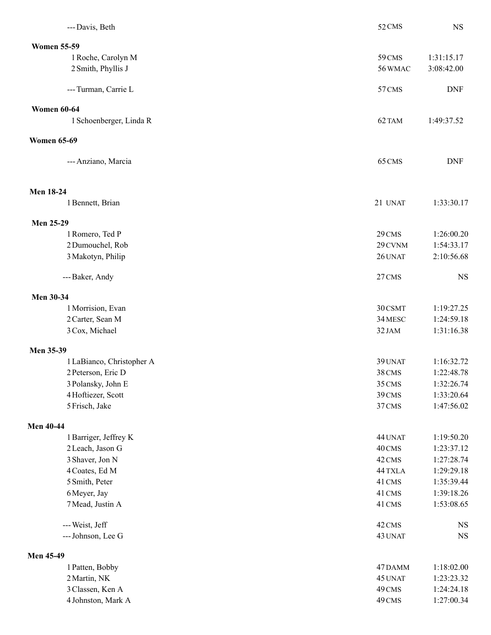| --- Davis, Beth           | 52 CMS  | <b>NS</b>  |
|---------------------------|---------|------------|
| <b>Women 55-59</b>        |         |            |
| 1 Roche, Carolyn M        | 59 CMS  | 1:31:15.17 |
| 2 Smith, Phyllis J        | 56 WMAC | 3:08:42.00 |
| --- Turman, Carrie L      | 57 CMS  | <b>DNF</b> |
| <b>Women 60-64</b>        |         |            |
| 1 Schoenberger, Linda R   | 62 TAM  | 1:49:37.52 |
| <b>Women 65-69</b>        |         |            |
| --- Anziano, Marcia       | 65 CMS  | <b>DNF</b> |
| <b>Men 18-24</b>          |         |            |
| 1 Bennett, Brian          | 21 UNAT | 1:33:30.17 |
| <b>Men 25-29</b>          |         |            |
| 1 Romero, Ted P           | 29 CMS  | 1:26:00.20 |
| 2 Dumouchel, Rob          | 29 CVNM | 1:54:33.17 |
| 3 Makotyn, Philip         | 26 UNAT | 2:10:56.68 |
| --- Baker, Andy           | 27 CMS  | <b>NS</b>  |
| Men 30-34                 |         |            |
| 1 Morrision, Evan         | 30 CSMT | 1:19:27.25 |
| 2 Carter, Sean M          | 34 MESC | 1:24:59.18 |
| 3 Cox, Michael            | 32 JAM  | 1:31:16.38 |
| Men 35-39                 |         |            |
| 1 LaBianco, Christopher A | 39 UNAT | 1:16:32.72 |
| 2 Peterson, Eric D        | 38 CMS  | 1:22:48.78 |
| 3 Polansky, John E        | 35 CMS  | 1:32:26.74 |
| 4 Hoftiezer, Scott        | 39 CMS  | 1:33:20.64 |
| 5 Frisch, Jake            | 37 CMS  | 1:47:56.02 |
| <b>Men 40-44</b>          |         |            |
| 1 Barriger, Jeffrey K     | 44 UNAT | 1:19:50.20 |
| 2 Leach, Jason G          | 40 CMS  | 1:23:37.12 |
| 3 Shaver, Jon N           | 42 CMS  | 1:27:28.74 |
| 4 Coates, Ed M            | 44 TXLA | 1:29:29.18 |
| 5 Smith, Peter            | 41 CMS  | 1:35:39.44 |
| 6 Meyer, Jay              | 41 CMS  | 1:39:18.26 |
| 7 Mead, Justin A          | 41 CMS  | 1:53:08.65 |
| --- Weist, Jeff           | 42 CMS  | <b>NS</b>  |
| --- Johnson, Lee G        | 43 UNAT | <b>NS</b>  |
| <b>Men 45-49</b>          |         |            |
| 1 Patten, Bobby           | 47 DAMM | 1:18:02.00 |
| 2 Martin, NK              | 45 UNAT | 1:23:23.32 |
| 3 Classen, Ken A          | 49 CMS  | 1:24:24.18 |
| 4 Johnston, Mark A        | 49 CMS  | 1:27:00.34 |